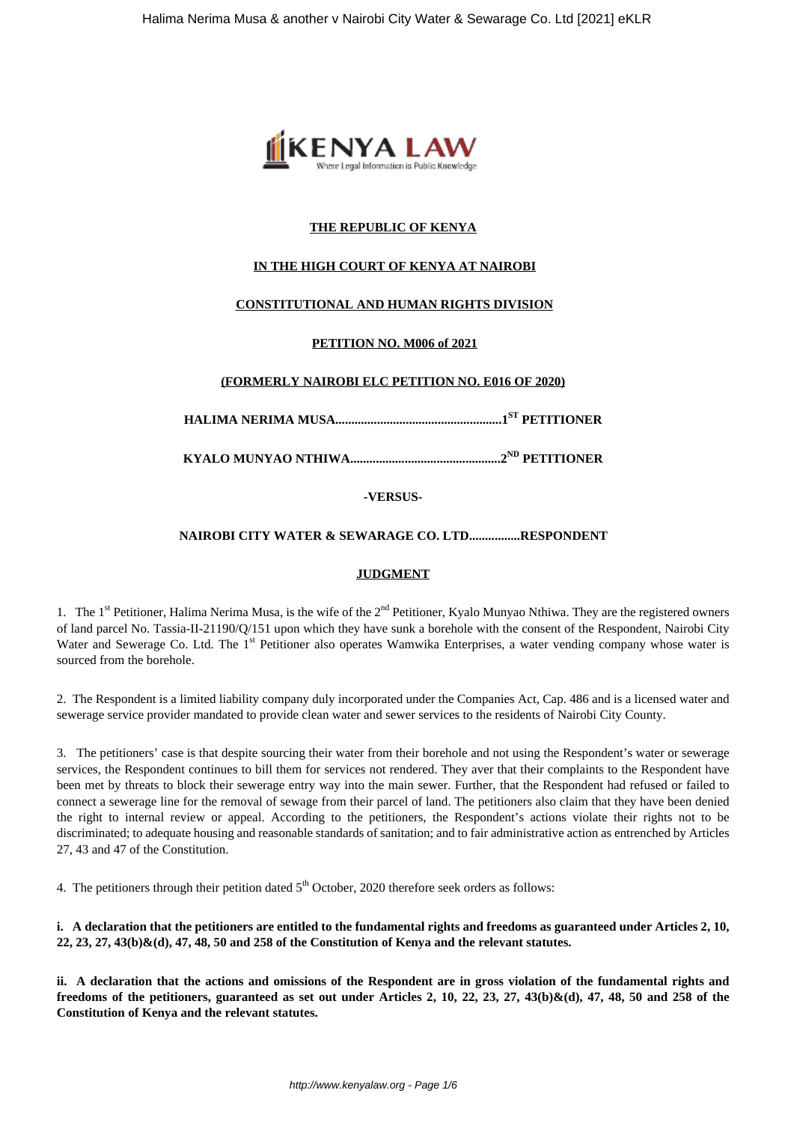

## **THE REPUBLIC OF KENYA**

## **IN THE HIGH COURT OF KENYA AT NAIROBI**

## **CONSTITUTIONAL AND HUMAN RIGHTS DIVISION**

## **PETITION NO. M006 of 2021**

## **(FORMERLY NAIROBI ELC PETITION NO. E016 OF 2020)**

**HALIMA NERIMA MUSA....................................................1ST PETITIONER**

**KYALO MUNYAO NTHIWA...............................................2ND PETITIONER**

**-VERSUS-**

## **NAIROBI CITY WATER & SEWARAGE CO. LTD................RESPONDENT**

## **JUDGMENT**

1. The  $1<sup>st</sup>$  Petitioner, Halima Nerima Musa, is the wife of the  $2<sup>nd</sup>$  Petitioner, Kyalo Munyao Nthiwa. They are the registered owners of land parcel No. Tassia-II-21190/Q/151 upon which they have sunk a borehole with the consent of the Respondent, Nairobi City Water and Sewerage Co. Ltd. The 1<sup>st</sup> Petitioner also operates Wamwika Enterprises, a water vending company whose water is sourced from the borehole.

2. The Respondent is a limited liability company duly incorporated under the Companies Act, Cap. 486 and is a licensed water and sewerage service provider mandated to provide clean water and sewer services to the residents of Nairobi City County.

3. The petitioners' case is that despite sourcing their water from their borehole and not using the Respondent's water or sewerage services, the Respondent continues to bill them for services not rendered. They aver that their complaints to the Respondent have been met by threats to block their sewerage entry way into the main sewer. Further, that the Respondent had refused or failed to connect a sewerage line for the removal of sewage from their parcel of land. The petitioners also claim that they have been denied the right to internal review or appeal. According to the petitioners, the Respondent's actions violate their rights not to be discriminated; to adequate housing and reasonable standards of sanitation; and to fair administrative action as entrenched by Articles 27, 43 and 47 of the Constitution.

4. The petitioners through their petition dated  $5<sup>th</sup>$  October, 2020 therefore seek orders as follows:

**i. A declaration that the petitioners are entitled to the fundamental rights and freedoms as guaranteed under Articles 2, 10, 22, 23, 27, 43(b)&(d), 47, 48, 50 and 258 of the Constitution of Kenya and the relevant statutes.**

**ii. A declaration that the actions and omissions of the Respondent are in gross violation of the fundamental rights and freedoms of the petitioners, guaranteed as set out under Articles 2, 10, 22, 23, 27, 43(b)&(d), 47, 48, 50 and 258 of the Constitution of Kenya and the relevant statutes.**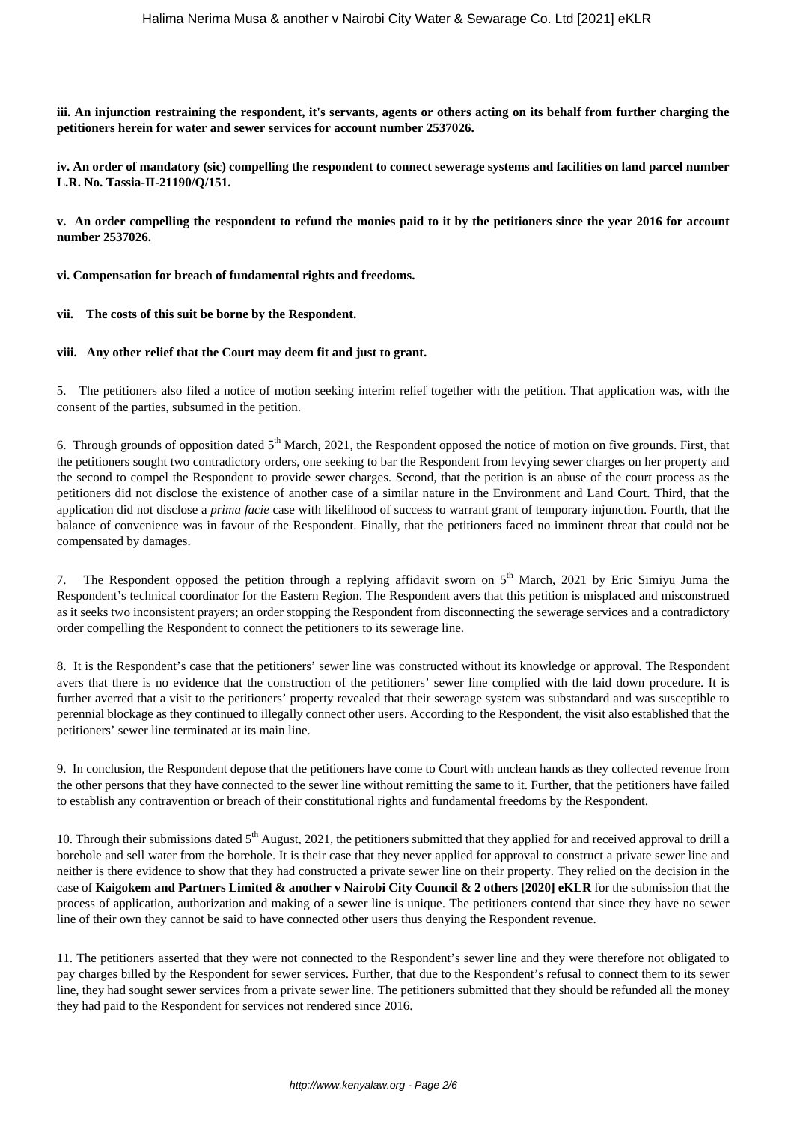**iii. An injunction restraining the respondent, it's servants, agents or others acting on its behalf from further charging the petitioners herein for water and sewer services for account number 2537026.**

**iv. An order of mandatory (sic) compelling the respondent to connect sewerage systems and facilities on land parcel number L.R. No. Tassia-II-21190/Q/151.**

**v. An order compelling the respondent to refund the monies paid to it by the petitioners since the year 2016 for account number 2537026.**

**vi. Compensation for breach of fundamental rights and freedoms.**

**vii. The costs of this suit be borne by the Respondent.**

**viii. Any other relief that the Court may deem fit and just to grant.**

5. The petitioners also filed a notice of motion seeking interim relief together with the petition. That application was, with the consent of the parties, subsumed in the petition.

6. Through grounds of opposition dated 5<sup>th</sup> March, 2021, the Respondent opposed the notice of motion on five grounds. First, that the petitioners sought two contradictory orders, one seeking to bar the Respondent from levying sewer charges on her property and the second to compel the Respondent to provide sewer charges. Second, that the petition is an abuse of the court process as the petitioners did not disclose the existence of another case of a similar nature in the Environment and Land Court. Third, that the application did not disclose a *prima facie* case with likelihood of success to warrant grant of temporary injunction. Fourth, that the balance of convenience was in favour of the Respondent. Finally, that the petitioners faced no imminent threat that could not be compensated by damages.

7. The Respondent opposed the petition through a replying affidavit sworn on  $5<sup>th</sup>$  March, 2021 by Eric Simiyu Juma the Respondent's technical coordinator for the Eastern Region. The Respondent avers that this petition is misplaced and misconstrued as it seeks two inconsistent prayers; an order stopping the Respondent from disconnecting the sewerage services and a contradictory order compelling the Respondent to connect the petitioners to its sewerage line.

8. It is the Respondent's case that the petitioners' sewer line was constructed without its knowledge or approval. The Respondent avers that there is no evidence that the construction of the petitioners' sewer line complied with the laid down procedure. It is further averred that a visit to the petitioners' property revealed that their sewerage system was substandard and was susceptible to perennial blockage as they continued to illegally connect other users. According to the Respondent, the visit also established that the petitioners' sewer line terminated at its main line.

9. In conclusion, the Respondent depose that the petitioners have come to Court with unclean hands as they collected revenue from the other persons that they have connected to the sewer line without remitting the same to it. Further, that the petitioners have failed to establish any contravention or breach of their constitutional rights and fundamental freedoms by the Respondent.

10. Through their submissions dated  $5<sup>th</sup>$  August, 2021, the petitioners submitted that they applied for and received approval to drill a borehole and sell water from the borehole. It is their case that they never applied for approval to construct a private sewer line and neither is there evidence to show that they had constructed a private sewer line on their property. They relied on the decision in the case of **Kaigokem and Partners Limited & another v Nairobi City Council & 2 others [2020] eKLR** for the submission that the process of application, authorization and making of a sewer line is unique. The petitioners contend that since they have no sewer line of their own they cannot be said to have connected other users thus denying the Respondent revenue.

11. The petitioners asserted that they were not connected to the Respondent's sewer line and they were therefore not obligated to pay charges billed by the Respondent for sewer services. Further, that due to the Respondent's refusal to connect them to its sewer line, they had sought sewer services from a private sewer line. The petitioners submitted that they should be refunded all the money they had paid to the Respondent for services not rendered since 2016.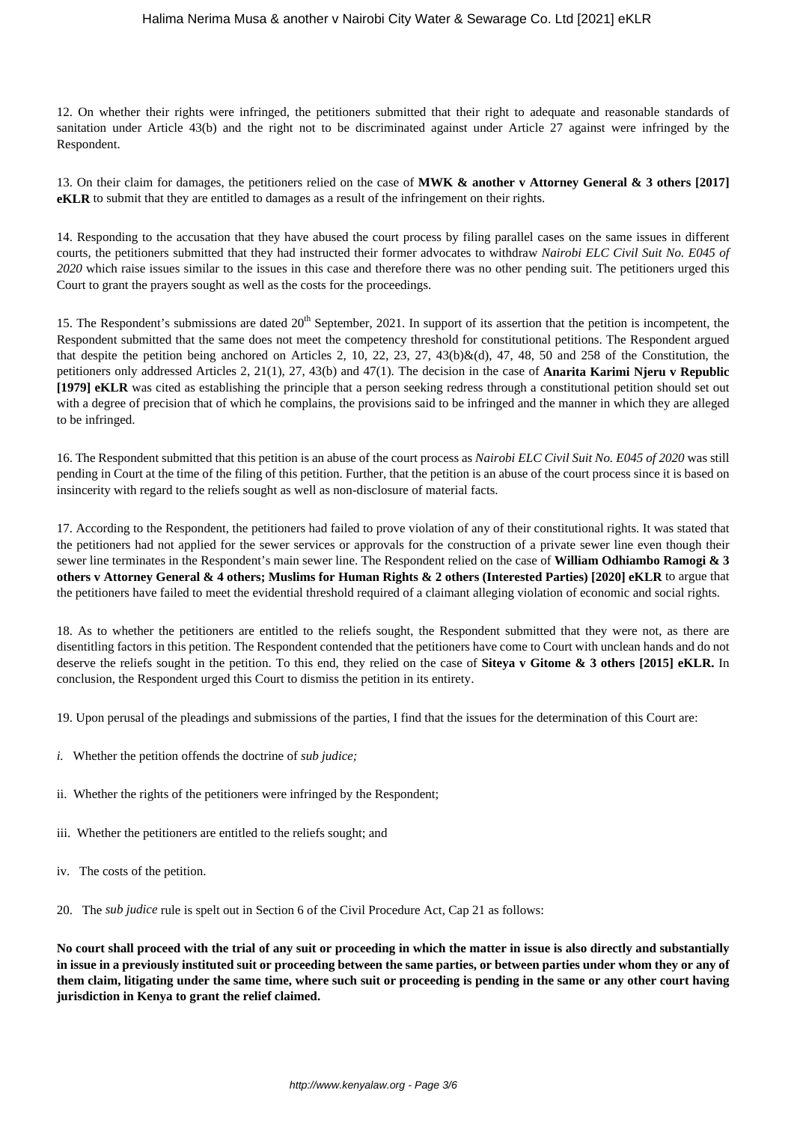12. On whether their rights were infringed, the petitioners submitted that their right to adequate and reasonable standards of sanitation under Article 43(b) and the right not to be discriminated against under Article 27 against were infringed by the Respondent.

13. On their claim for damages, the petitioners relied on the case of **MWK & another v Attorney General & 3 others [2017] eKLR** to submit that they are entitled to damages as a result of the infringement on their rights.

14. Responding to the accusation that they have abused the court process by filing parallel cases on the same issues in different courts, the petitioners submitted that they had instructed their former advocates to withdraw *Nairobi ELC Civil Suit No. E045 of 2020* which raise issues similar to the issues in this case and therefore there was no other pending suit. The petitioners urged this Court to grant the prayers sought as well as the costs for the proceedings.

15. The Respondent's submissions are dated  $20<sup>th</sup>$  September, 2021. In support of its assertion that the petition is incompetent, the Respondent submitted that the same does not meet the competency threshold for constitutional petitions. The Respondent argued that despite the petition being anchored on Articles 2, 10, 22, 23, 27, 43(b)&(d), 47, 48, 50 and 258 of the Constitution, the petitioners only addressed Articles 2, 21(1), 27, 43(b) and 47(1). The decision in the case of **Anarita Karimi Njeru v Republic [1979] eKLR** was cited as establishing the principle that a person seeking redress through a constitutional petition should set out with a degree of precision that of which he complains, the provisions said to be infringed and the manner in which they are alleged to be infringed.

16. The Respondent submitted that this petition is an abuse of the court process as *Nairobi ELC Civil Suit No. E045 of 2020* was still pending in Court at the time of the filing of this petition. Further, that the petition is an abuse of the court process since it is based on insincerity with regard to the reliefs sought as well as non-disclosure of material facts.

17. According to the Respondent, the petitioners had failed to prove violation of any of their constitutional rights. It was stated that the petitioners had not applied for the sewer services or approvals for the construction of a private sewer line even though their sewer line terminates in the Respondent's main sewer line. The Respondent relied on the case of **William Odhiambo Ramogi & 3 others v Attorney General & 4 others; Muslims for Human Rights & 2 others (Interested Parties) [2020] eKLR** to argue that the petitioners have failed to meet the evidential threshold required of a claimant alleging violation of economic and social rights.

18. As to whether the petitioners are entitled to the reliefs sought, the Respondent submitted that they were not, as there are disentitling factors in this petition. The Respondent contended that the petitioners have come to Court with unclean hands and do not deserve the reliefs sought in the petition. To this end, they relied on the case of **Siteya v Gitome & 3 others [2015] eKLR.** In conclusion, the Respondent urged this Court to dismiss the petition in its entirety.

19. Upon perusal of the pleadings and submissions of the parties, I find that the issues for the determination of this Court are:

- *i.* Whether the petition offends the doctrine of *sub judice;*
- ii. Whether the rights of the petitioners were infringed by the Respondent;
- iii. Whether the petitioners are entitled to the reliefs sought; and
- iv. The costs of the petition.

20. The *sub judice* rule is spelt out in Section 6 of the Civil Procedure Act, Cap 21 as follows:

**No court shall proceed with the trial of any suit or proceeding in which the matter in issue is also directly and substantially in issue in a previously instituted suit or proceeding between the same parties, or between parties under whom they or any of them claim, litigating under the same time, where such suit or proceeding is pending in the same or any other court having jurisdiction in Kenya to grant the relief claimed.**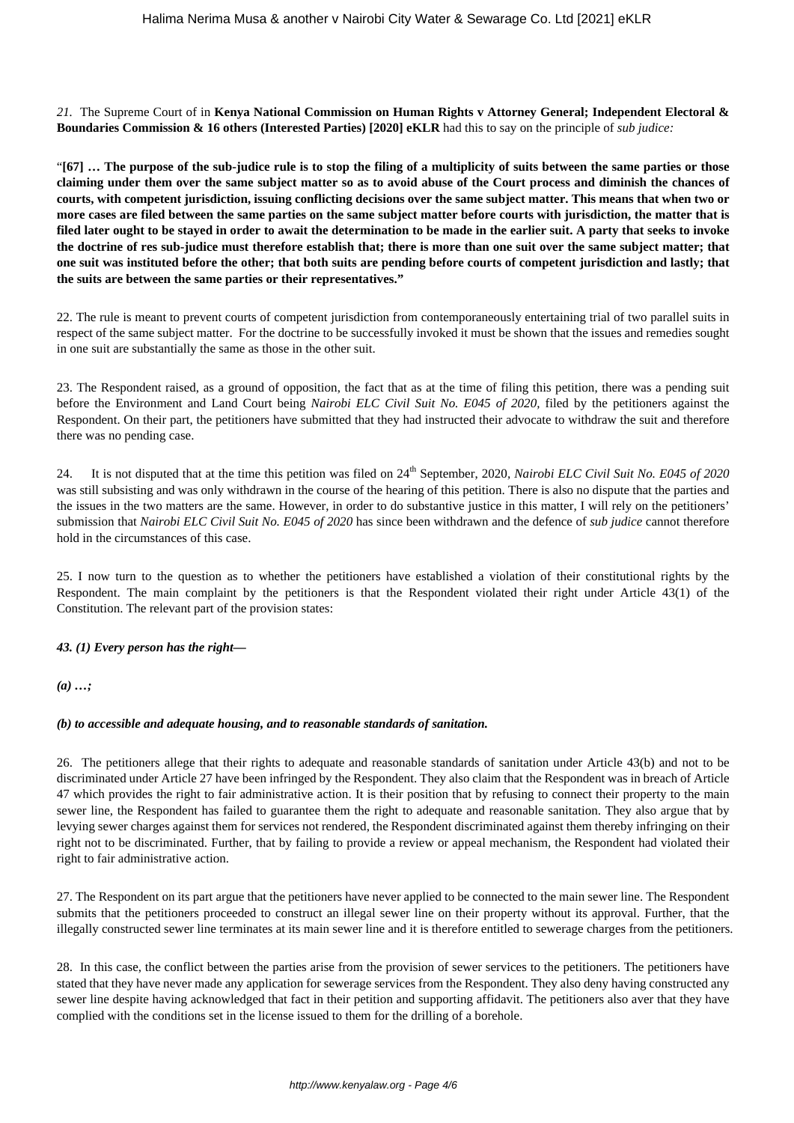*21.* The Supreme Court of in **Kenya National Commission on Human Rights v Attorney General; Independent Electoral & Boundaries Commission & 16 others (Interested Parties) [2020] eKLR** had this to say on the principle of *sub judice:*

"**[67] … The purpose of the sub-judice rule is to stop the filing of a multiplicity of suits between the same parties or those claiming under them over the same subject matter so as to avoid abuse of the Court process and diminish the chances of courts, with competent jurisdiction, issuing conflicting decisions over the same subject matter. This means that when two or more cases are filed between the same parties on the same subject matter before courts with jurisdiction, the matter that is filed later ought to be stayed in order to await the determination to be made in the earlier suit. A party that seeks to invoke the doctrine of res sub-judice must therefore establish that; there is more than one suit over the same subject matter; that one suit was instituted before the other; that both suits are pending before courts of competent jurisdiction and lastly; that the suits are between the same parties or their representatives."** 

22. The rule is meant to prevent courts of competent jurisdiction from contemporaneously entertaining trial of two parallel suits in respect of the same subject matter. For the doctrine to be successfully invoked it must be shown that the issues and remedies sought in one suit are substantially the same as those in the other suit.

23. The Respondent raised, as a ground of opposition, the fact that as at the time of filing this petition, there was a pending suit before the Environment and Land Court being *Nairobi ELC Civil Suit No. E045 of 2020,* filed by the petitioners against the Respondent. On their part, the petitioners have submitted that they had instructed their advocate to withdraw the suit and therefore there was no pending case.

24. It is not disputed that at the time this petition was filed on 24th September, 2020*, Nairobi ELC Civil Suit No. E045 of 2020* was still subsisting and was only withdrawn in the course of the hearing of this petition. There is also no dispute that the parties and the issues in the two matters are the same. However, in order to do substantive justice in this matter, I will rely on the petitioners' submission that *Nairobi ELC Civil Suit No. E045 of 2020* has since been withdrawn and the defence of *sub judice* cannot therefore hold in the circumstances of this case.

25. I now turn to the question as to whether the petitioners have established a violation of their constitutional rights by the Respondent. The main complaint by the petitioners is that the Respondent violated their right under Article 43(1) of the Constitution. The relevant part of the provision states:

## *43. (1) Every person has the right—*

*(a) …;*

### *(b) to accessible and adequate housing, and to reasonable standards of sanitation.*

26. The petitioners allege that their rights to adequate and reasonable standards of sanitation under Article 43(b) and not to be discriminated under Article 27 have been infringed by the Respondent. They also claim that the Respondent was in breach of Article 47 which provides the right to fair administrative action. It is their position that by refusing to connect their property to the main sewer line, the Respondent has failed to guarantee them the right to adequate and reasonable sanitation. They also argue that by levying sewer charges against them for services not rendered, the Respondent discriminated against them thereby infringing on their right not to be discriminated. Further, that by failing to provide a review or appeal mechanism, the Respondent had violated their right to fair administrative action.

27. The Respondent on its part argue that the petitioners have never applied to be connected to the main sewer line. The Respondent submits that the petitioners proceeded to construct an illegal sewer line on their property without its approval. Further, that the illegally constructed sewer line terminates at its main sewer line and it is therefore entitled to sewerage charges from the petitioners.

28. In this case, the conflict between the parties arise from the provision of sewer services to the petitioners. The petitioners have stated that they have never made any application for sewerage services from the Respondent. They also deny having constructed any sewer line despite having acknowledged that fact in their petition and supporting affidavit. The petitioners also aver that they have complied with the conditions set in the license issued to them for the drilling of a borehole.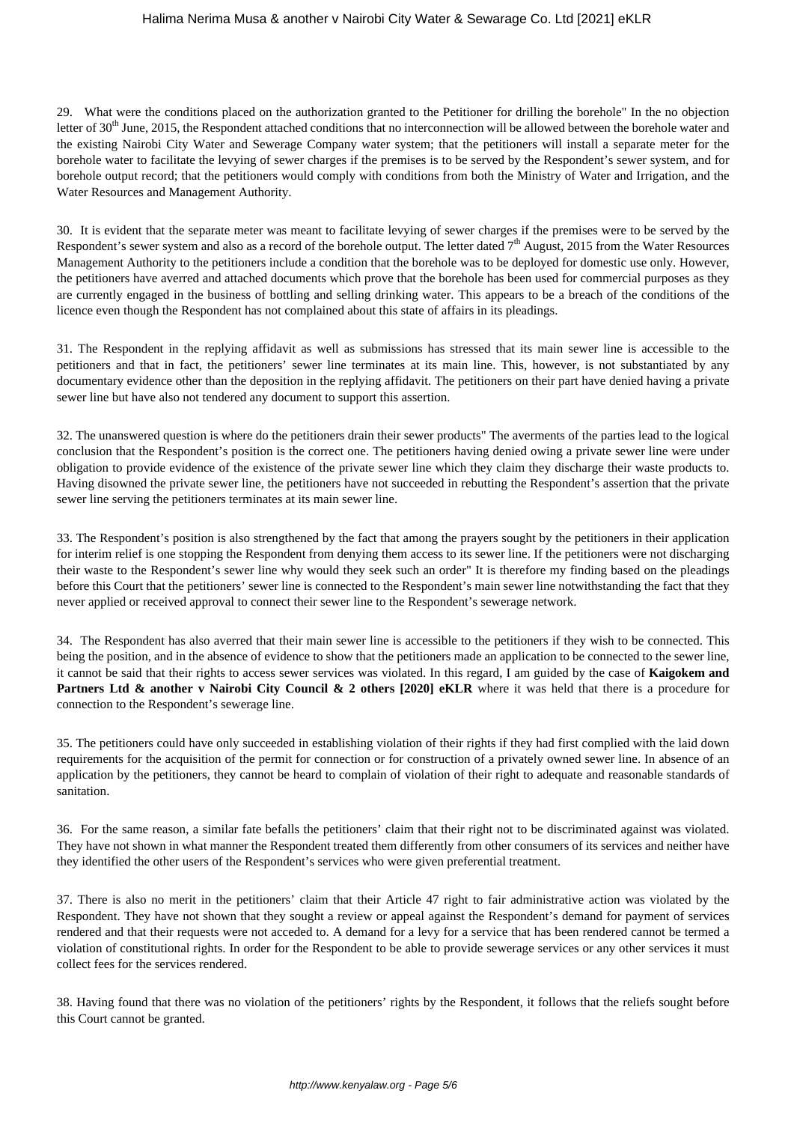## Halima Nerima Musa & another v Nairobi City Water & Sewarage Co. Ltd [2021] eKLR

29. What were the conditions placed on the authorization granted to the Petitioner for drilling the borehole" In the no objection letter of 30<sup>th</sup> June, 2015, the Respondent attached conditions that no interconnection will be allowed between the borehole water and the existing Nairobi City Water and Sewerage Company water system; that the petitioners will install a separate meter for the borehole water to facilitate the levying of sewer charges if the premises is to be served by the Respondent's sewer system, and for borehole output record; that the petitioners would comply with conditions from both the Ministry of Water and Irrigation, and the Water Resources and Management Authority.

30. It is evident that the separate meter was meant to facilitate levying of sewer charges if the premises were to be served by the Respondent's sewer system and also as a record of the borehole output. The letter dated  $7<sup>th</sup>$  August, 2015 from the Water Resources Management Authority to the petitioners include a condition that the borehole was to be deployed for domestic use only. However, the petitioners have averred and attached documents which prove that the borehole has been used for commercial purposes as they are currently engaged in the business of bottling and selling drinking water. This appears to be a breach of the conditions of the licence even though the Respondent has not complained about this state of affairs in its pleadings.

31. The Respondent in the replying affidavit as well as submissions has stressed that its main sewer line is accessible to the petitioners and that in fact, the petitioners' sewer line terminates at its main line. This, however, is not substantiated by any documentary evidence other than the deposition in the replying affidavit. The petitioners on their part have denied having a private sewer line but have also not tendered any document to support this assertion.

32. The unanswered question is where do the petitioners drain their sewer products" The averments of the parties lead to the logical conclusion that the Respondent's position is the correct one. The petitioners having denied owing a private sewer line were under obligation to provide evidence of the existence of the private sewer line which they claim they discharge their waste products to. Having disowned the private sewer line, the petitioners have not succeeded in rebutting the Respondent's assertion that the private sewer line serving the petitioners terminates at its main sewer line.

33. The Respondent's position is also strengthened by the fact that among the prayers sought by the petitioners in their application for interim relief is one stopping the Respondent from denying them access to its sewer line. If the petitioners were not discharging their waste to the Respondent's sewer line why would they seek such an order" It is therefore my finding based on the pleadings before this Court that the petitioners' sewer line is connected to the Respondent's main sewer line notwithstanding the fact that they never applied or received approval to connect their sewer line to the Respondent's sewerage network.

34. The Respondent has also averred that their main sewer line is accessible to the petitioners if they wish to be connected. This being the position, and in the absence of evidence to show that the petitioners made an application to be connected to the sewer line, it cannot be said that their rights to access sewer services was violated. In this regard, I am guided by the case of **Kaigokem and Partners Ltd & another v Nairobi City Council & 2 others [2020] eKLR** where it was held that there is a procedure for connection to the Respondent's sewerage line.

35. The petitioners could have only succeeded in establishing violation of their rights if they had first complied with the laid down requirements for the acquisition of the permit for connection or for construction of a privately owned sewer line. In absence of an application by the petitioners, they cannot be heard to complain of violation of their right to adequate and reasonable standards of sanitation.

36. For the same reason, a similar fate befalls the petitioners' claim that their right not to be discriminated against was violated. They have not shown in what manner the Respondent treated them differently from other consumers of its services and neither have they identified the other users of the Respondent's services who were given preferential treatment.

37. There is also no merit in the petitioners' claim that their Article 47 right to fair administrative action was violated by the Respondent. They have not shown that they sought a review or appeal against the Respondent's demand for payment of services rendered and that their requests were not acceded to. A demand for a levy for a service that has been rendered cannot be termed a violation of constitutional rights. In order for the Respondent to be able to provide sewerage services or any other services it must collect fees for the services rendered.

38. Having found that there was no violation of the petitioners' rights by the Respondent, it follows that the reliefs sought before this Court cannot be granted.